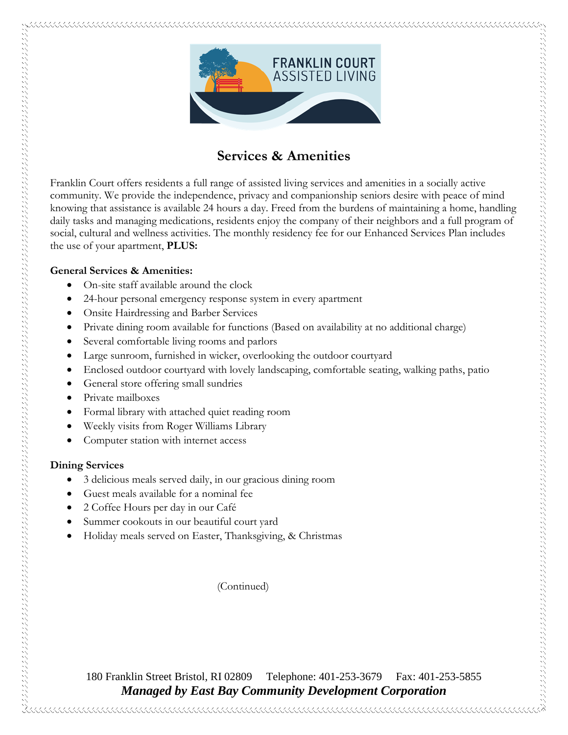

# **Services & Amenities**

Franklin Court offers residents a full range of assisted living services and amenities in a socially active community. We provide the independence, privacy and companionship seniors desire with peace of mind knowing that assistance is available 24 hours a day. Freed from the burdens of maintaining a home, handling daily tasks and managing medications, residents enjoy the company of their neighbors and a full program of social, cultural and wellness activities. The monthly residency fee for our Enhanced Services Plan includes the use of your apartment, **PLUS:**

#### **General Services & Amenities:**

- On-site staff available around the clock
- 24-hour personal emergency response system in every apartment
- Onsite Hairdressing and Barber Services
- Private dining room available for functions (Based on availability at no additional charge)
- Several comfortable living rooms and parlors
- Large sunroom, furnished in wicker, overlooking the outdoor courtyard
- Enclosed outdoor courtyard with lovely landscaping, comfortable seating, walking paths, patio
- General store offering small sundries
- Private mailboxes
- Formal library with attached quiet reading room
- Weekly visits from Roger Williams Library
- Computer station with internet access

### **Dining Services**

- 3 delicious meals served daily, in our gracious dining room
- Guest meals available for a nominal fee
- 2 Coffee Hours per day in our Café
- Summer cookouts in our beautiful court yard
- Holiday meals served on Easter, Thanksgiving, & Christmas

(Continued)

180 Franklin Street Bristol, RI 02809 Telephone: 401-253-3679 Fax: 401-253-5855 *Managed by East Bay Community Development Corporation*